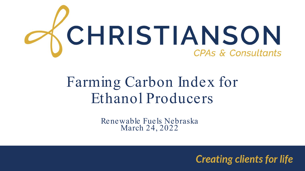

## Farming Carbon Index for Ethanol Producers

Renewable Fuels Nebraska March 24, 2022

**Creating clients for life**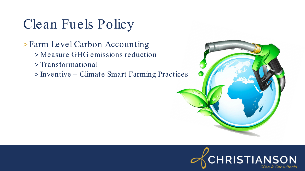## Clean Fuels Policy

#### > Farm Level Carbon Accounting

- > Measure GHG emissions reduction
- > Transformational
- > Inventive Climate Smart Farming Practices



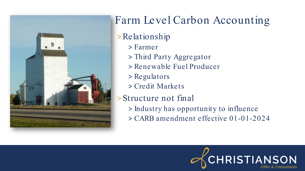

#### >Relationship

- > Farmer
- > Third Party Aggregator
- > Renewable Fuel Producer
- > Regulators
- > Credit Markets

#### > Structure not final

- > Industry has opportunity to influence
- > CARB amendment effective 01-01-2024

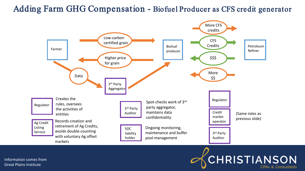#### Adding Farm GHG Compensation - Biofuel Producer as CFS credit generator



## **CHRISTIANSON**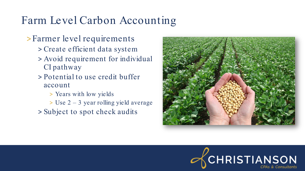#### > Farmer level requirements

- > Create efficient data system
- > Avoid requirement for individual CI pathway
- > Potential to use credit buffer account
	- > Years with low yields
	- > Use 2 3 year rolling yield average
- > Subject to spot check audits



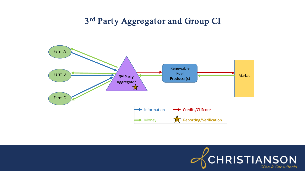#### 3rd Party Aggregator and Group CI



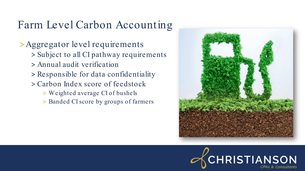> Aggregator level requirements

- > Subject to all CI pathway requirements
- > Annual audit verification
- > Responsible for data confidentiality
- > Carbon Index score of feedstock
	- > Weighted average CI of bushels
	- > Banded CI score by groups of farmers



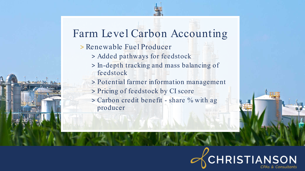- > Renewable Fuel Producer
	- > Added pathways for feedstock
	- > In-depth tracking and mass balancing of feedstock
	- > Potential farmer information management
	- > Pricing of feedstock by CI score
	- > Carbon credit benefit share % with ag producer

# **CHRISTIANSON**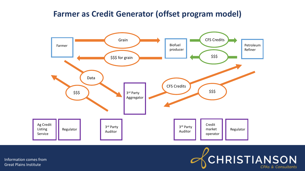#### **Farmer as Credit Generator (offset program model)**



Information comes from Great Plains Institute